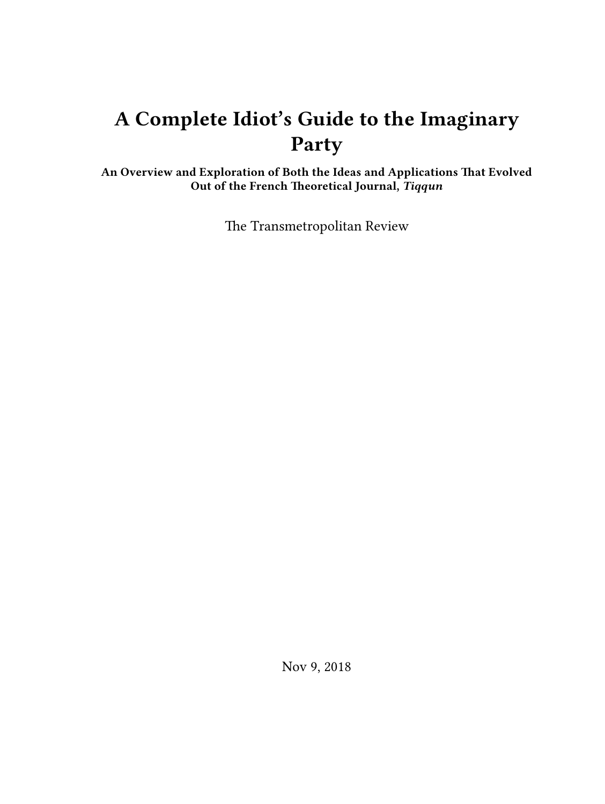# **A Complete Idiot's Guide to the Imaginary Party**

**An Overview and Exploration of Both the Ideas and Applications That Evolved Out of the French Theoretical Journal,** *Tiqqun*

The Transmetropolitan Review

Nov 9, 2018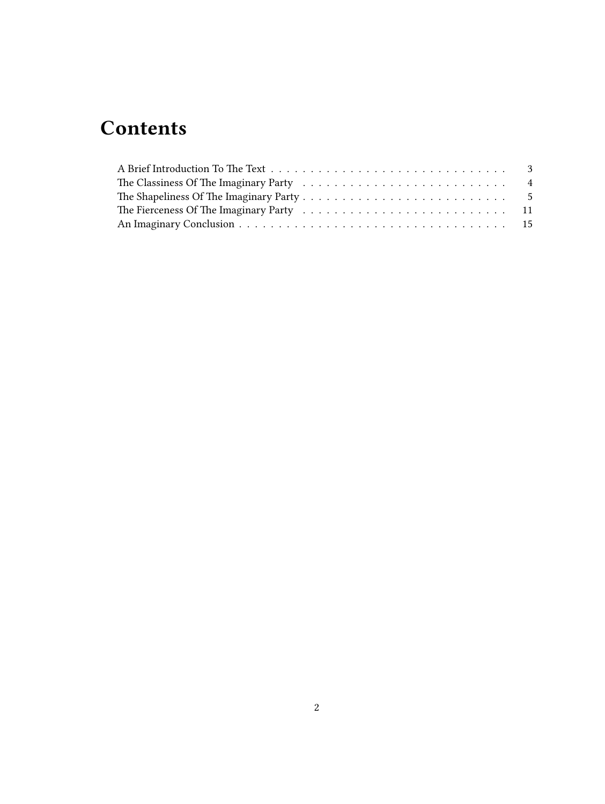## **Contents**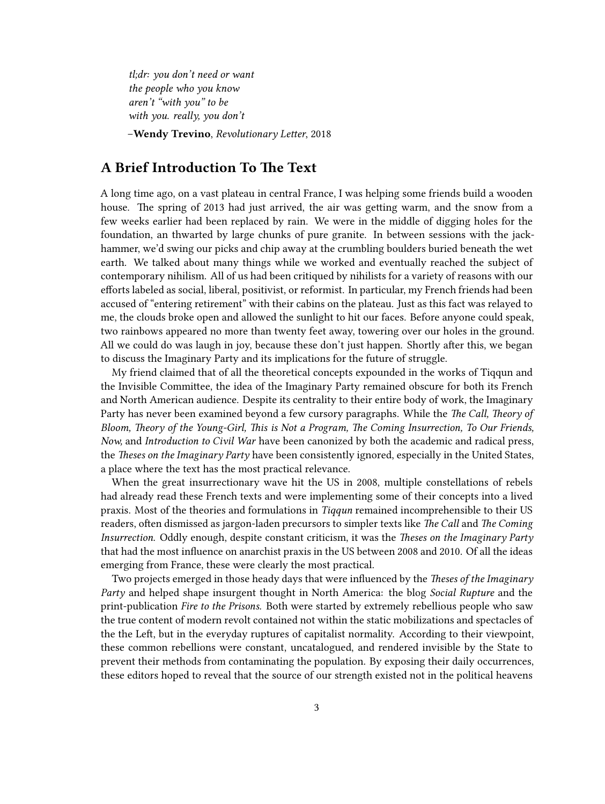*tl;dr: you don't need or want the people who you know aren't "with you" to be with you. really, you don't*

–**Wendy Trevino**, *Revolutionary Letter*, 2018

### <span id="page-2-0"></span>**A Brief Introduction To The Text**

A long time ago, on a vast plateau in central France, I was helping some friends build a wooden house. The spring of 2013 had just arrived, the air was getting warm, and the snow from a few weeks earlier had been replaced by rain. We were in the middle of digging holes for the foundation, an thwarted by large chunks of pure granite. In between sessions with the jackhammer, we'd swing our picks and chip away at the crumbling boulders buried beneath the wet earth. We talked about many things while we worked and eventually reached the subject of contemporary nihilism. All of us had been critiqued by nihilists for a variety of reasons with our efforts labeled as social, liberal, positivist, or reformist. In particular, my French friends had been accused of "entering retirement" with their cabins on the plateau. Just as this fact was relayed to me, the clouds broke open and allowed the sunlight to hit our faces. Before anyone could speak, two rainbows appeared no more than twenty feet away, towering over our holes in the ground. All we could do was laugh in joy, because these don't just happen. Shortly after this, we began to discuss the Imaginary Party and its implications for the future of struggle.

My friend claimed that of all the theoretical concepts expounded in the works of Tiqqun and the Invisible Committee, the idea of the Imaginary Party remained obscure for both its French and North American audience. Despite its centrality to their entire body of work, the Imaginary Party has never been examined beyond a few cursory paragraphs. While the *The Call, Theory of Bloom, Theory of the Young-Girl, This is Not a Program, The Coming Insurrection, To Our Friends, Now,* and *Introduction to Civil War* have been canonized by both the academic and radical press, the *Theses on the Imaginary Party* have been consistently ignored, especially in the United States, a place where the text has the most practical relevance.

When the great insurrectionary wave hit the US in 2008, multiple constellations of rebels had already read these French texts and were implementing some of their concepts into a lived praxis. Most of the theories and formulations in *Tiqqun* remained incomprehensible to their US readers, often dismissed as jargon-laden precursors to simpler texts like *The Call* and *The Coming Insurrection.* Oddly enough, despite constant criticism, it was the *Theses on the Imaginary Party* that had the most influence on anarchist praxis in the US between 2008 and 2010. Of all the ideas emerging from France, these were clearly the most practical.

Two projects emerged in those heady days that were influenced by the *Theses of the Imaginary Party* and helped shape insurgent thought in North America: the blog *Social Rupture* and the print-publication *Fire to the Prisons.* Both were started by extremely rebellious people who saw the true content of modern revolt contained not within the static mobilizations and spectacles of the the Left, but in the everyday ruptures of capitalist normality. According to their viewpoint, these common rebellions were constant, uncatalogued, and rendered invisible by the State to prevent their methods from contaminating the population. By exposing their daily occurrences, these editors hoped to reveal that the source of our strength existed not in the political heavens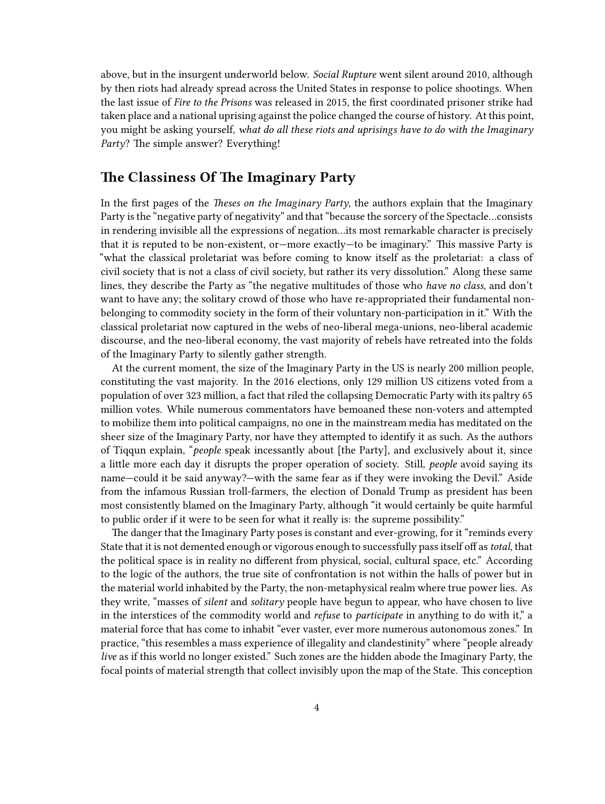above, but in the insurgent underworld below. *Social Rupture* went silent around 2010, although by then riots had already spread across the United States in response to police shootings. When the last issue of *Fire to the Prisons* was released in 2015, the first coordinated prisoner strike had taken place and a national uprising against the police changed the course of history. At this point, you might be asking yourself, *what do all these riots and uprisings have to do with the Imaginary Party*? The simple answer? Everything!

#### <span id="page-3-0"></span>**The Classiness Of The Imaginary Party**

In the first pages of the *Theses on the Imaginary Party*, the authors explain that the Imaginary Party is the "negative party of negativity" and that "because the sorcery of the Spectacle…consists in rendering invisible all the expressions of negation…its most remarkable character is precisely that it is reputed to be non-existent, or—more exactly—to be imaginary." This massive Party is "what the classical proletariat was before coming to know itself as the proletariat: a class of civil society that is not a class of civil society, but rather its very dissolution." Along these same lines, they describe the Party as "the negative multitudes of those who *have no class*, and don't want to have any; the solitary crowd of those who have re-appropriated their fundamental nonbelonging to commodity society in the form of their voluntary non-participation in it." With the classical proletariat now captured in the webs of neo-liberal mega-unions, neo-liberal academic discourse, and the neo-liberal economy, the vast majority of rebels have retreated into the folds of the Imaginary Party to silently gather strength.

At the current moment, the size of the Imaginary Party in the US is nearly 200 million people, constituting the vast majority. In the 2016 elections, only 129 million US citizens voted from a population of over 323 million, a fact that riled the collapsing Democratic Party with its paltry 65 million votes. While numerous commentators have bemoaned these non-voters and attempted to mobilize them into political campaigns, no one in the mainstream media has meditated on the sheer size of the Imaginary Party, nor have they attempted to identify it as such. As the authors of Tiqqun explain, "*people* speak incessantly about [the Party], and exclusively about it, since a little more each day it disrupts the proper operation of society. Still, *people* avoid saying its name—could it be said anyway?—with the same fear as if they were invoking the Devil." Aside from the infamous Russian troll-farmers, the election of Donald Trump as president has been most consistently blamed on the Imaginary Party, although "it would certainly be quite harmful to public order if it were to be seen for what it really is: the supreme possibility."

The danger that the Imaginary Party poses is constant and ever-growing, for it "reminds every State that it is not demented enough or vigorous enough to successfully pass itself off as*total*, that the political space is in reality no different from physical, social, cultural space, etc." According to the logic of the authors, the true site of confrontation is not within the halls of power but in the material world inhabited by the Party, the non-metaphysical realm where true power lies. As they write, "masses of *silent* and *solitary* people have begun to appear, who have chosen to live in the interstices of the commodity world and *refuse* to *participate* in anything to do with it," a material force that has come to inhabit "ever vaster, ever more numerous autonomous zones." In practice, "this resembles a mass experience of illegality and clandestinity" where "people already *live* as if this world no longer existed." Such zones are the hidden abode the Imaginary Party, the focal points of material strength that collect invisibly upon the map of the State. This conception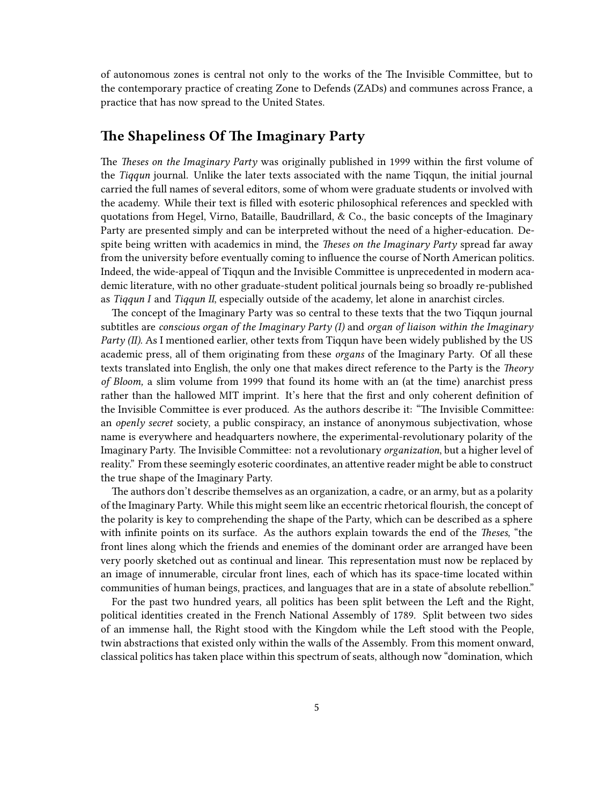of autonomous zones is central not only to the works of the The Invisible Committee, but to the contemporary practice of creating Zone to Defends (ZADs) and communes across France, a practice that has now spread to the United States.

#### <span id="page-4-0"></span>**The Shapeliness Of The Imaginary Party**

The *Theses on the Imaginary Party* was originally published in 1999 within the first volume of the *Tiqqun* journal. Unlike the later texts associated with the name Tiqqun, the initial journal carried the full names of several editors, some of whom were graduate students or involved with the academy. While their text is filled with esoteric philosophical references and speckled with quotations from Hegel, Virno, Bataille, Baudrillard, & Co., the basic concepts of the Imaginary Party are presented simply and can be interpreted without the need of a higher-education. Despite being written with academics in mind, the *Theses on the Imaginary Party* spread far away from the university before eventually coming to influence the course of North American politics. Indeed, the wide-appeal of Tiqqun and the Invisible Committee is unprecedented in modern academic literature, with no other graduate-student political journals being so broadly re-published as *Tiqqun I* and *Tiqqun II*, especially outside of the academy, let alone in anarchist circles.

The concept of the Imaginary Party was so central to these texts that the two Tiqqun journal subtitles are *conscious organ of the Imaginary Party (I)* and *organ of liaison within the Imaginary Party (II)*. As I mentioned earlier, other texts from Tiqqun have been widely published by the US academic press, all of them originating from these *organs* of the Imaginary Party. Of all these texts translated into English, the only one that makes direct reference to the Party is the *Theory of Bloom,* a slim volume from 1999 that found its home with an (at the time) anarchist press rather than the hallowed MIT imprint. It's here that the first and only coherent definition of the Invisible Committee is ever produced. As the authors describe it: "The Invisible Committee: an *openly secret* society, a public conspiracy, an instance of anonymous subjectivation, whose name is everywhere and headquarters nowhere, the experimental-revolutionary polarity of the Imaginary Party. The Invisible Committee: not a revolutionary *organization*, but a higher level of reality." From these seemingly esoteric coordinates, an attentive reader might be able to construct the true shape of the Imaginary Party.

The authors don't describe themselves as an organization, a cadre, or an army, but as a polarity of the Imaginary Party. While this might seem like an eccentric rhetorical flourish, the concept of the polarity is key to comprehending the shape of the Party, which can be described as a sphere with infinite points on its surface. As the authors explain towards the end of the *Theses*, "the front lines along which the friends and enemies of the dominant order are arranged have been very poorly sketched out as continual and linear. This representation must now be replaced by an image of innumerable, circular front lines, each of which has its space-time located within communities of human beings, practices, and languages that are in a state of absolute rebellion."

For the past two hundred years, all politics has been split between the Left and the Right, political identities created in the French National Assembly of 1789. Split between two sides of an immense hall, the Right stood with the Kingdom while the Left stood with the People, twin abstractions that existed only within the walls of the Assembly. From this moment onward, classical politics has taken place within this spectrum of seats, although now "domination, which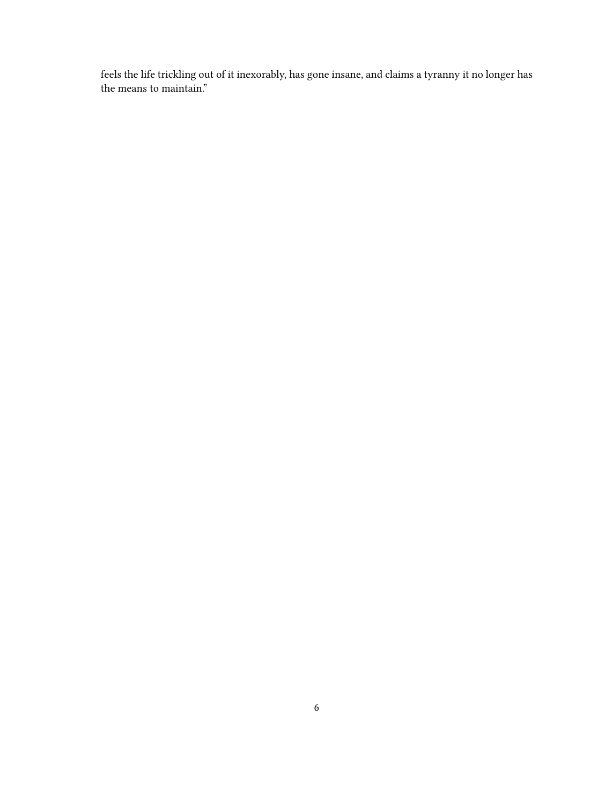feels the life trickling out of it inexorably, has gone insane, and claims a tyranny it no longer has the means to maintain."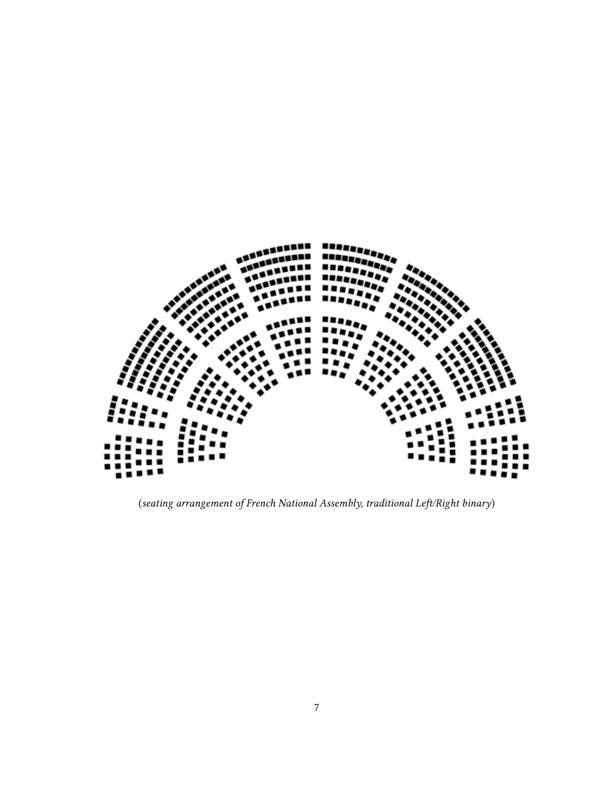

(*seating arrangement of French National Assembly, traditional Left/Right binary*)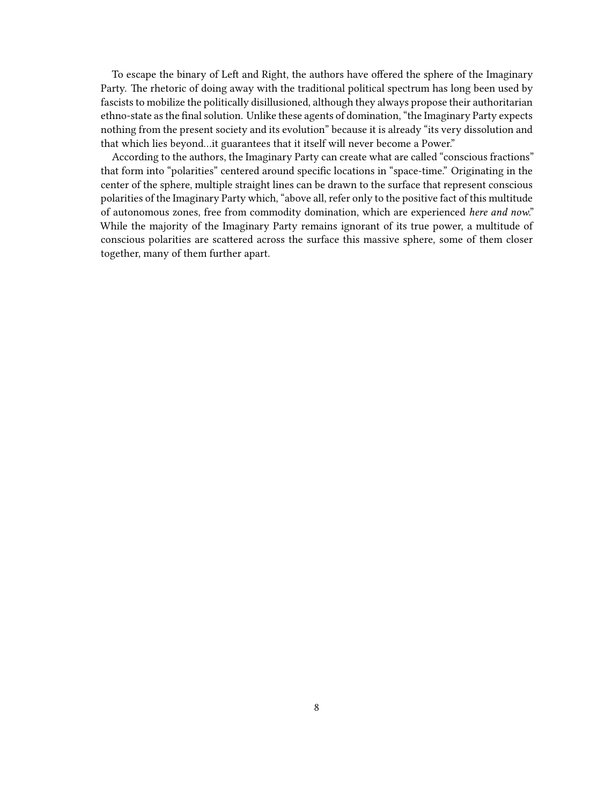To escape the binary of Left and Right, the authors have offered the sphere of the Imaginary Party. The rhetoric of doing away with the traditional political spectrum has long been used by fascists to mobilize the politically disillusioned, although they always propose their authoritarian ethno-state as the final solution. Unlike these agents of domination, "the Imaginary Party expects nothing from the present society and its evolution" because it is already "its very dissolution and that which lies beyond…it guarantees that it itself will never become a Power."

According to the authors, the Imaginary Party can create what are called "conscious fractions" that form into "polarities" centered around specific locations in "space-time." Originating in the center of the sphere, multiple straight lines can be drawn to the surface that represent conscious polarities of the Imaginary Party which, "above all, refer only to the positive fact of this multitude of autonomous zones, free from commodity domination, which are experienced *here and now*." While the majority of the Imaginary Party remains ignorant of its true power, a multitude of conscious polarities are scattered across the surface this massive sphere, some of them closer together, many of them further apart.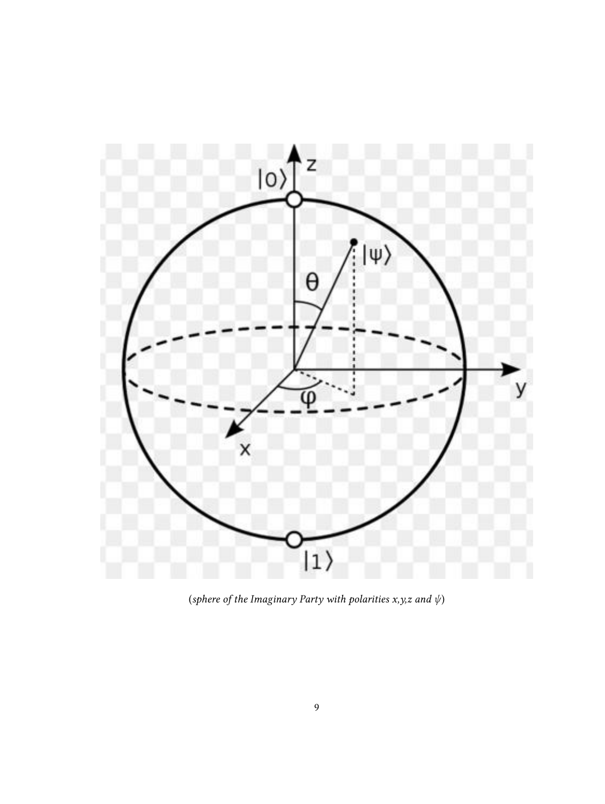

(*sphere of the Imaginary Party with polarities x,y,z and ψ*)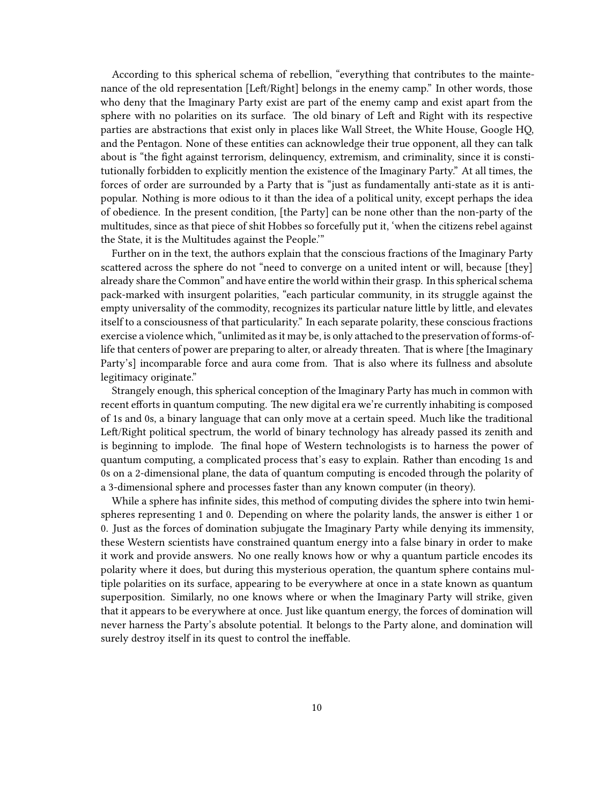According to this spherical schema of rebellion, "everything that contributes to the maintenance of the old representation [Left/Right] belongs in the enemy camp." In other words, those who deny that the Imaginary Party exist are part of the enemy camp and exist apart from the sphere with no polarities on its surface. The old binary of Left and Right with its respective parties are abstractions that exist only in places like Wall Street, the White House, Google HQ, and the Pentagon. None of these entities can acknowledge their true opponent, all they can talk about is "the fight against terrorism, delinquency, extremism, and criminality, since it is constitutionally forbidden to explicitly mention the existence of the Imaginary Party." At all times, the forces of order are surrounded by a Party that is "just as fundamentally anti-state as it is antipopular. Nothing is more odious to it than the idea of a political unity, except perhaps the idea of obedience. In the present condition, [the Party] can be none other than the non-party of the multitudes, since as that piece of shit Hobbes so forcefully put it, 'when the citizens rebel against the State, it is the Multitudes against the People.'"

Further on in the text, the authors explain that the conscious fractions of the Imaginary Party scattered across the sphere do not "need to converge on a united intent or will, because [they] already share the Common" and have entire the world within their grasp. In this spherical schema pack-marked with insurgent polarities, "each particular community, in its struggle against the empty universality of the commodity, recognizes its particular nature little by little, and elevates itself to a consciousness of that particularity." In each separate polarity, these conscious fractions exercise a violence which, "unlimited as it may be, is only attached to the preservation of forms-oflife that centers of power are preparing to alter, or already threaten. That is where [the Imaginary Party's] incomparable force and aura come from. That is also where its fullness and absolute legitimacy originate."

Strangely enough, this spherical conception of the Imaginary Party has much in common with recent efforts in quantum computing. The new digital era we're currently inhabiting is composed of 1s and 0s, a binary language that can only move at a certain speed. Much like the traditional Left/Right political spectrum, the world of binary technology has already passed its zenith and is beginning to implode. The final hope of Western technologists is to harness the power of quantum computing, a complicated process that's easy to explain. Rather than encoding 1s and 0s on a 2-dimensional plane, the data of quantum computing is encoded through the polarity of a 3-dimensional sphere and processes faster than any known computer (in theory).

While a sphere has infinite sides, this method of computing divides the sphere into twin hemispheres representing 1 and 0. Depending on where the polarity lands, the answer is either 1 or 0. Just as the forces of domination subjugate the Imaginary Party while denying its immensity, these Western scientists have constrained quantum energy into a false binary in order to make it work and provide answers. No one really knows how or why a quantum particle encodes its polarity where it does, but during this mysterious operation, the quantum sphere contains multiple polarities on its surface, appearing to be everywhere at once in a state known as quantum superposition. Similarly, no one knows where or when the Imaginary Party will strike, given that it appears to be everywhere at once. Just like quantum energy, the forces of domination will never harness the Party's absolute potential. It belongs to the Party alone, and domination will surely destroy itself in its quest to control the ineffable.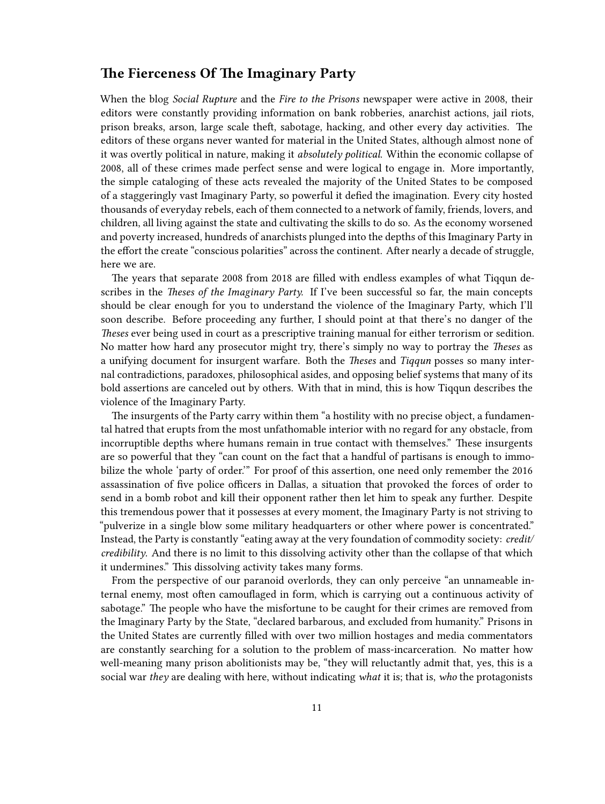#### <span id="page-10-0"></span>**The Fierceness Of The Imaginary Party**

When the blog *Social Rupture* and the *Fire to the Prisons* newspaper were active in 2008, their editors were constantly providing information on bank robberies, anarchist actions, jail riots, prison breaks, arson, large scale theft, sabotage, hacking, and other every day activities. The editors of these organs never wanted for material in the United States, although almost none of it was overtly political in nature, making it *absolutely political*. Within the economic collapse of 2008, all of these crimes made perfect sense and were logical to engage in. More importantly, the simple cataloging of these acts revealed the majority of the United States to be composed of a staggeringly vast Imaginary Party, so powerful it defied the imagination. Every city hosted thousands of everyday rebels, each of them connected to a network of family, friends, lovers, and children, all living against the state and cultivating the skills to do so. As the economy worsened and poverty increased, hundreds of anarchists plunged into the depths of this Imaginary Party in the effort the create "conscious polarities" across the continent. After nearly a decade of struggle, here we are.

The years that separate 2008 from 2018 are filled with endless examples of what Tiqqun describes in the *Theses of the Imaginary Party.* If I've been successful so far, the main concepts should be clear enough for you to understand the violence of the Imaginary Party, which I'll soon describe. Before proceeding any further, I should point at that there's no danger of the *Theses* ever being used in court as a prescriptive training manual for either terrorism or sedition. No matter how hard any prosecutor might try, there's simply no way to portray the *Theses* as a unifying document for insurgent warfare. Both the *Theses* and *Tiqqun* posses so many internal contradictions, paradoxes, philosophical asides, and opposing belief systems that many of its bold assertions are canceled out by others. With that in mind, this is how Tiqqun describes the violence of the Imaginary Party.

The insurgents of the Party carry within them "a hostility with no precise object, a fundamental hatred that erupts from the most unfathomable interior with no regard for any obstacle, from incorruptible depths where humans remain in true contact with themselves." These insurgents are so powerful that they "can count on the fact that a handful of partisans is enough to immobilize the whole 'party of order.'" For proof of this assertion, one need only remember the 2016 assassination of five police officers in Dallas, a situation that provoked the forces of order to send in a bomb robot and kill their opponent rather then let him to speak any further. Despite this tremendous power that it possesses at every moment, the Imaginary Party is not striving to "pulverize in a single blow some military headquarters or other where power is concentrated." Instead, the Party is constantly "eating away at the very foundation of commodity society: *credit/ credibility*. And there is no limit to this dissolving activity other than the collapse of that which it undermines." This dissolving activity takes many forms.

From the perspective of our paranoid overlords, they can only perceive "an unnameable internal enemy, most often camouflaged in form, which is carrying out a continuous activity of sabotage." The people who have the misfortune to be caught for their crimes are removed from the Imaginary Party by the State, "declared barbarous, and excluded from humanity." Prisons in the United States are currently filled with over two million hostages and media commentators are constantly searching for a solution to the problem of mass-incarceration. No matter how well-meaning many prison abolitionists may be, "they will reluctantly admit that, yes, this is a social war *they* are dealing with here, without indicating *what* it is; that is, *who* the protagonists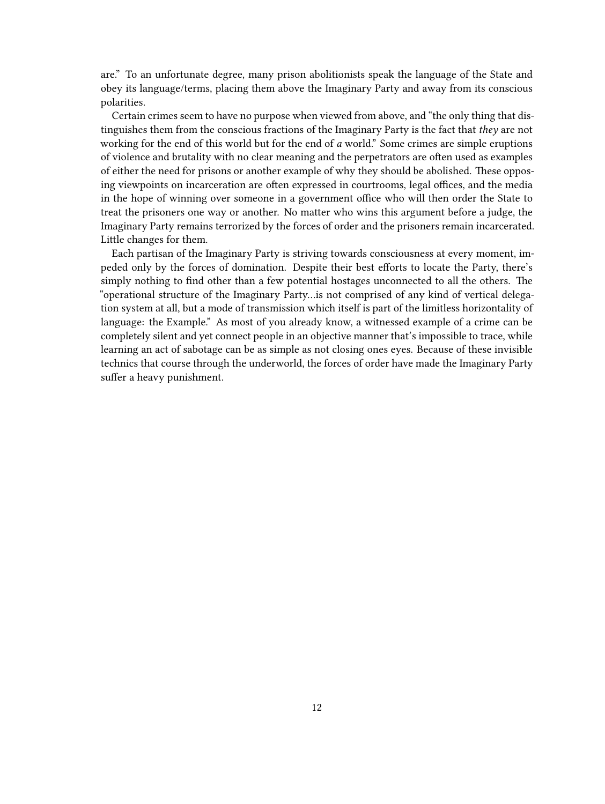are." To an unfortunate degree, many prison abolitionists speak the language of the State and obey its language/terms, placing them above the Imaginary Party and away from its conscious polarities.

Certain crimes seem to have no purpose when viewed from above, and "the only thing that distinguishes them from the conscious fractions of the Imaginary Party is the fact that *they* are not working for the end of this world but for the end of *a* world." Some crimes are simple eruptions of violence and brutality with no clear meaning and the perpetrators are often used as examples of either the need for prisons or another example of why they should be abolished. These opposing viewpoints on incarceration are often expressed in courtrooms, legal offices, and the media in the hope of winning over someone in a government office who will then order the State to treat the prisoners one way or another. No matter who wins this argument before a judge, the Imaginary Party remains terrorized by the forces of order and the prisoners remain incarcerated. Little changes for them.

Each partisan of the Imaginary Party is striving towards consciousness at every moment, impeded only by the forces of domination. Despite their best efforts to locate the Party, there's simply nothing to find other than a few potential hostages unconnected to all the others. The "operational structure of the Imaginary Party…is not comprised of any kind of vertical delegation system at all, but a mode of transmission which itself is part of the limitless horizontality of language: the Example." As most of you already know, a witnessed example of a crime can be completely silent and yet connect people in an objective manner that's impossible to trace, while learning an act of sabotage can be as simple as not closing ones eyes. Because of these invisible technics that course through the underworld, the forces of order have made the Imaginary Party suffer a heavy punishment.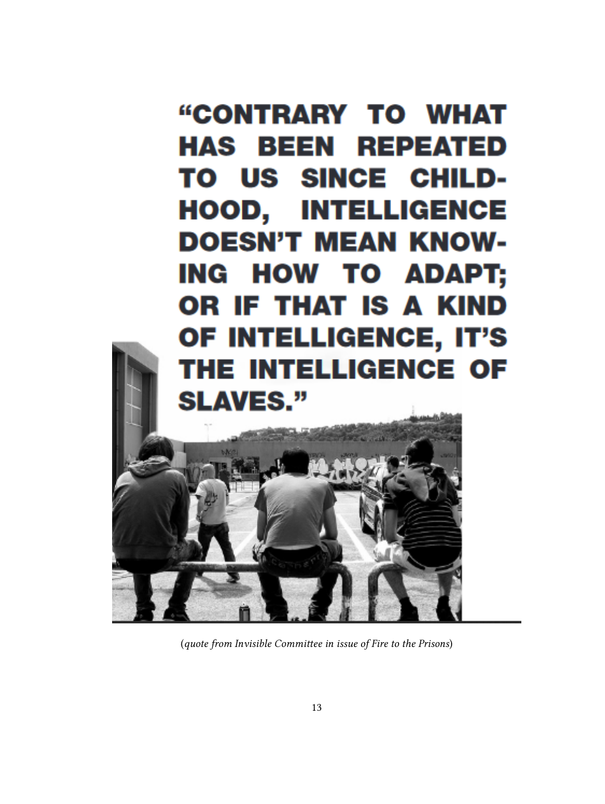

(*quote from Invisible Committee in issue of Fire to the Prisons*)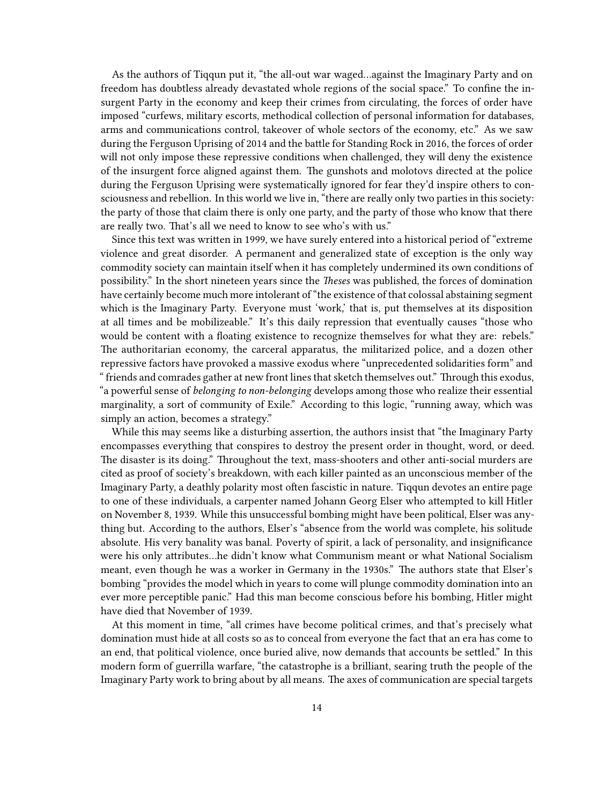As the authors of Tiqqun put it, "the all-out war waged…against the Imaginary Party and on freedom has doubtless already devastated whole regions of the social space." To confine the insurgent Party in the economy and keep their crimes from circulating, the forces of order have imposed "curfews, military escorts, methodical collection of personal information for databases, arms and communications control, takeover of whole sectors of the economy, etc." As we saw during the Ferguson Uprising of 2014 and the battle for Standing Rock in 2016, the forces of order will not only impose these repressive conditions when challenged, they will deny the existence of the insurgent force aligned against them. The gunshots and molotovs directed at the police during the Ferguson Uprising were systematically ignored for fear they'd inspire others to consciousness and rebellion. In this world we live in, "there are really only two parties in this society: the party of those that claim there is only one party, and the party of those who know that there are really two. That's all we need to know to see who's with us."

Since this text was written in 1999, we have surely entered into a historical period of "extreme violence and great disorder. A permanent and generalized state of exception is the only way commodity society can maintain itself when it has completely undermined its own conditions of possibility." In the short nineteen years since the *Theses* was published, the forces of domination have certainly become much more intolerant of "the existence of that colossal abstaining segment which is the Imaginary Party. Everyone must 'work,' that is, put themselves at its disposition at all times and be mobilizeable." It's this daily repression that eventually causes "those who would be content with a floating existence to recognize themselves for what they are: rebels." The authoritarian economy, the carceral apparatus, the militarized police, and a dozen other repressive factors have provoked a massive exodus where "unprecedented solidarities form" and " friends and comrades gather at new front lines that sketch themselves out." Through this exodus, "a powerful sense of *belonging to non-belonging* develops among those who realize their essential marginality, a sort of community of Exile." According to this logic, "running away, which was simply an action, becomes a strategy."

While this may seems like a disturbing assertion, the authors insist that "the Imaginary Party encompasses everything that conspires to destroy the present order in thought, word, or deed. The disaster is its doing." Throughout the text, mass-shooters and other anti-social murders are cited as proof of society's breakdown, with each killer painted as an unconscious member of the Imaginary Party, a deathly polarity most often fascistic in nature. Tiqqun devotes an entire page to one of these individuals, a carpenter named Johann Georg Elser who attempted to kill Hitler on November 8, 1939. While this unsuccessful bombing might have been political, Elser was anything but. According to the authors, Elser's "absence from the world was complete, his solitude absolute. His very banality was banal. Poverty of spirit, a lack of personality, and insignificance were his only attributes…he didn't know what Communism meant or what National Socialism meant, even though he was a worker in Germany in the 1930s." The authors state that Elser's bombing "provides the model which in years to come will plunge commodity domination into an ever more perceptible panic." Had this man become conscious before his bombing, Hitler might have died that November of 1939.

At this moment in time, "all crimes have become political crimes, and that's precisely what domination must hide at all costs so as to conceal from everyone the fact that an era has come to an end, that political violence, once buried alive, now demands that accounts be settled." In this modern form of guerrilla warfare, "the catastrophe is a brilliant, searing truth the people of the Imaginary Party work to bring about by all means. The axes of communication are special targets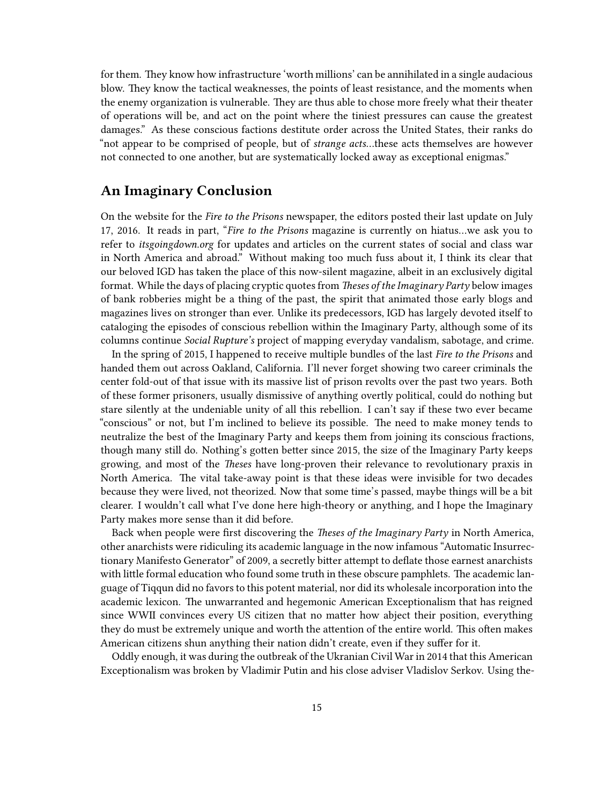for them. They know how infrastructure 'worth millions' can be annihilated in a single audacious blow. They know the tactical weaknesses, the points of least resistance, and the moments when the enemy organization is vulnerable. They are thus able to chose more freely what their theater of operations will be, and act on the point where the tiniest pressures can cause the greatest damages." As these conscious factions destitute order across the United States, their ranks do "not appear to be comprised of people, but of *strange acts*…these acts themselves are however not connected to one another, but are systematically locked away as exceptional enigmas."

### <span id="page-14-0"></span>**An Imaginary Conclusion**

On the website for the *Fire to the Prisons* newspaper, the editors posted their last update on July 17, 2016. It reads in part, "*Fire to the Prisons* magazine is currently on hiatus…we ask you to refer to *itsgoingdown.org* for updates and articles on the current states of social and class war in North America and abroad." Without making too much fuss about it, I think its clear that our beloved IGD has taken the place of this now-silent magazine, albeit in an exclusively digital format. While the days of placing cryptic quotes from *Theses of the Imaginary Party* below images of bank robberies might be a thing of the past, the spirit that animated those early blogs and magazines lives on stronger than ever. Unlike its predecessors, IGD has largely devoted itself to cataloging the episodes of conscious rebellion within the Imaginary Party, although some of its columns continue *Social Rupture's* project of mapping everyday vandalism, sabotage, and crime.

In the spring of 2015, I happened to receive multiple bundles of the last *Fire to the Prisons* and handed them out across Oakland, California. I'll never forget showing two career criminals the center fold-out of that issue with its massive list of prison revolts over the past two years. Both of these former prisoners, usually dismissive of anything overtly political, could do nothing but stare silently at the undeniable unity of all this rebellion. I can't say if these two ever became "conscious" or not, but I'm inclined to believe its possible. The need to make money tends to neutralize the best of the Imaginary Party and keeps them from joining its conscious fractions, though many still do. Nothing's gotten better since 2015, the size of the Imaginary Party keeps growing, and most of the *Theses* have long-proven their relevance to revolutionary praxis in North America. The vital take-away point is that these ideas were invisible for two decades because they were lived, not theorized. Now that some time's passed, maybe things will be a bit clearer. I wouldn't call what I've done here high-theory or anything, and I hope the Imaginary Party makes more sense than it did before.

Back when people were first discovering the *Theses of the Imaginary Party* in North America, other anarchists were ridiculing its academic language in the now infamous "Automatic Insurrectionary Manifesto Generator" of 2009, a secretly bitter attempt to deflate those earnest anarchists with little formal education who found some truth in these obscure pamphlets. The academic language of Tiqqun did no favors to this potent material, nor did its wholesale incorporation into the academic lexicon. The unwarranted and hegemonic American Exceptionalism that has reigned since WWII convinces every US citizen that no matter how abject their position, everything they do must be extremely unique and worth the attention of the entire world. This often makes American citizens shun anything their nation didn't create, even if they suffer for it.

Oddly enough, it was during the outbreak of the Ukranian Civil War in 2014 that this American Exceptionalism was broken by Vladimir Putin and his close adviser Vladislov Serkov. Using the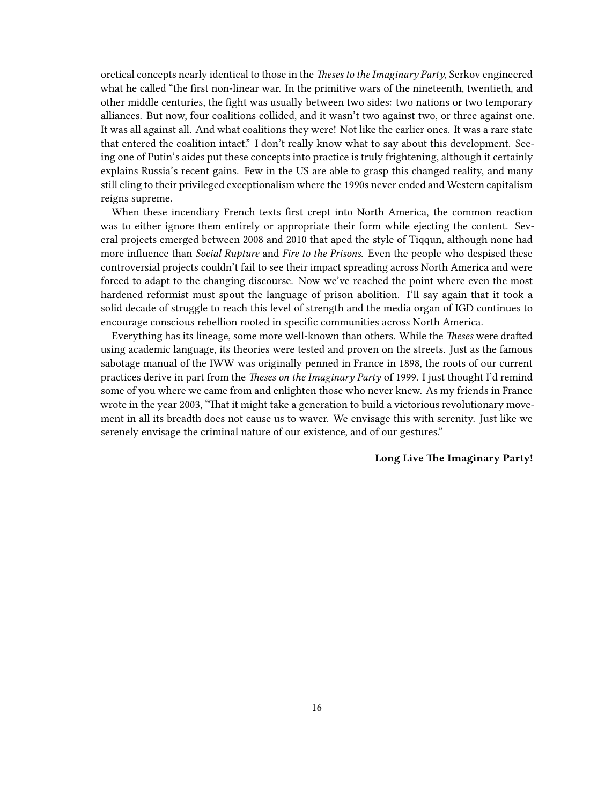oretical concepts nearly identical to those in the *Theses to the Imaginary Party*, Serkov engineered what he called "the first non-linear war. In the primitive wars of the nineteenth, twentieth, and other middle centuries, the fight was usually between two sides: two nations or two temporary alliances. But now, four coalitions collided, and it wasn't two against two, or three against one. It was all against all. And what coalitions they were! Not like the earlier ones. It was a rare state that entered the coalition intact." I don't really know what to say about this development. Seeing one of Putin's aides put these concepts into practice is truly frightening, although it certainly explains Russia's recent gains. Few in the US are able to grasp this changed reality, and many still cling to their privileged exceptionalism where the 1990s never ended and Western capitalism reigns supreme.

When these incendiary French texts first crept into North America, the common reaction was to either ignore them entirely or appropriate their form while ejecting the content. Several projects emerged between 2008 and 2010 that aped the style of Tiqqun, although none had more influence than *Social Rupture* and *Fire to the Prisons*. Even the people who despised these controversial projects couldn't fail to see their impact spreading across North America and were forced to adapt to the changing discourse. Now we've reached the point where even the most hardened reformist must spout the language of prison abolition. I'll say again that it took a solid decade of struggle to reach this level of strength and the media organ of IGD continues to encourage conscious rebellion rooted in specific communities across North America.

Everything has its lineage, some more well-known than others. While the *Theses* were drafted using academic language, its theories were tested and proven on the streets. Just as the famous sabotage manual of the IWW was originally penned in France in 1898, the roots of our current practices derive in part from the *Theses on the Imaginary Party* of 1999. I just thought I'd remind some of you where we came from and enlighten those who never knew. As my friends in France wrote in the year 2003, "That it might take a generation to build a victorious revolutionary movement in all its breadth does not cause us to waver. We envisage this with serenity. Just like we serenely envisage the criminal nature of our existence, and of our gestures."

#### **Long Live The Imaginary Party!**